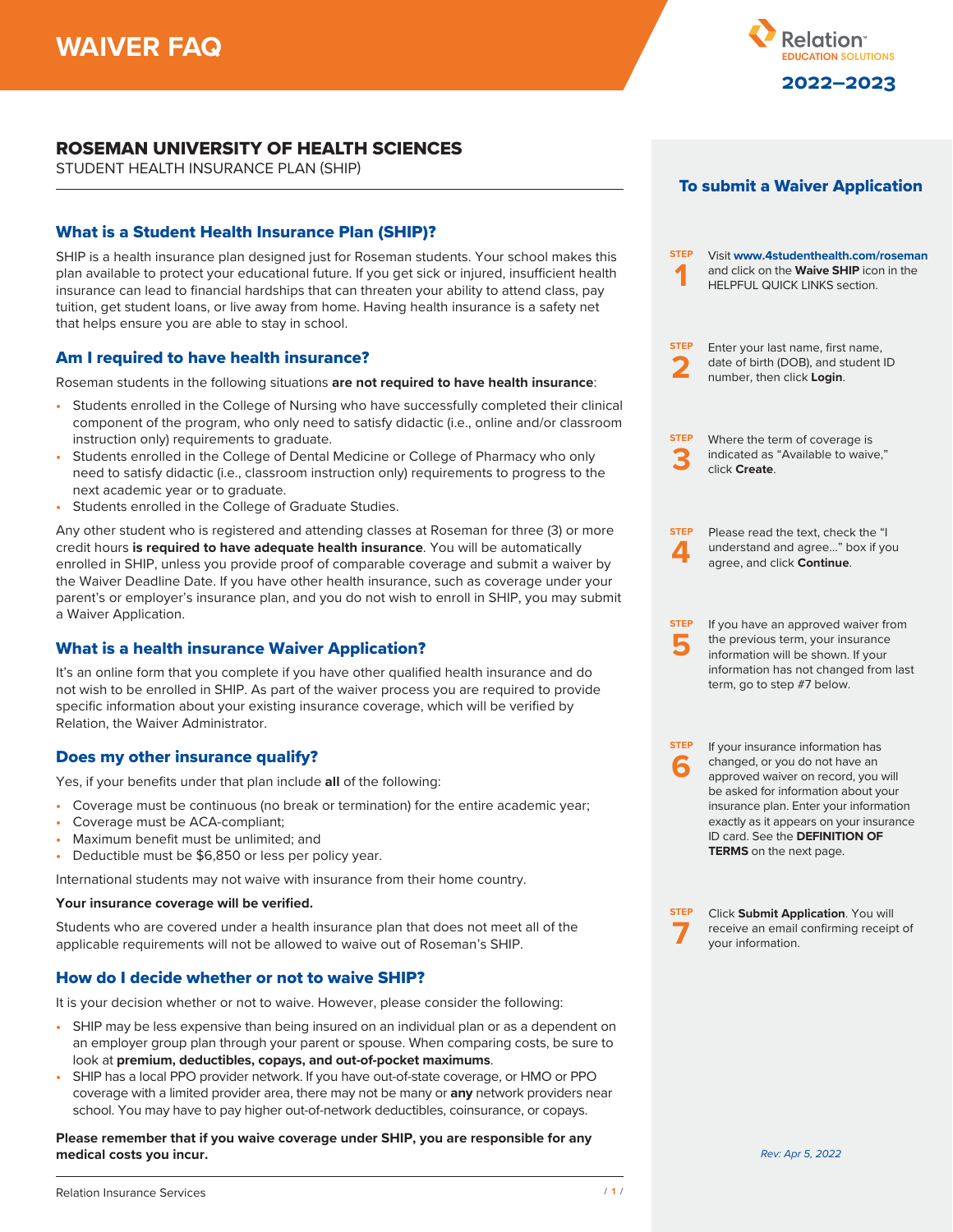

# ROSEMAN UNIVERSITY OF HEALTH SCIENCES

STUDENT HEALTH INSURANCE PLAN (SHIP)

# What is a Student Health Insurance Plan (SHIP)?

SHIP is a health insurance plan designed just for Roseman students. Your school makes this plan available to protect your educational future. If you get sick or injured, insufficient health insurance can lead to financial hardships that can threaten your ability to attend class, pay tuition, get student loans, or live away from home. Having health insurance is a safety net that helps ensure you are able to stay in school.

# Am I required to have health insurance?

Roseman students in the following situations **are not required to have health insurance**:

- **•** Students enrolled in the College of Nursing who have successfully completed their clinical component of the program, who only need to satisfy didactic (i.e., online and/or classroom instruction only) requirements to graduate.
- **•** Students enrolled in the College of Dental Medicine or College of Pharmacy who only need to satisfy didactic (i.e., classroom instruction only) requirements to progress to the next academic year or to graduate.
- **•** Students enrolled in the College of Graduate Studies.

Any other student who is registered and attending classes at Roseman for three (3) or more credit hours **is required to have adequate health insurance**. You will be automatically enrolled in SHIP, unless you provide proof of comparable coverage and submit a waiver by the Waiver Deadline Date. If you have other health insurance, such as coverage under your parent's or employer's insurance plan, and you do not wish to enroll in SHIP, you may submit a Waiver Application.

# What is a health insurance Waiver Application?

It's an online form that you complete if you have other qualified health insurance and do not wish to be enrolled in SHIP. As part of the waiver process you are required to provide specific information about your existing insurance coverage, which will be verified by Relation, the Waiver Administrator.

# Does my other insurance qualify?

Yes, if your benefits under that plan include **all** of the following:

- **•** Coverage must be continuous (no break or termination) for the entire academic year;
- **•** Coverage must be ACA-compliant;
- **•** Maximum benefit must be unlimited; and
- **•** Deductible must be \$6,850 or less per policy year.

International students may not waive with insurance from their home country.

#### **Your insurance coverage will be verified.**

Students who are covered under a health insurance plan that does not meet all of the applicable requirements will not be allowed to waive out of Roseman's SHIP.

# How do I decide whether or not to waive SHIP?

It is your decision whether or not to waive. However, please consider the following:

- **•** SHIP may be less expensive than being insured on an individual plan or as a dependent on an employer group plan through your parent or spouse. When comparing costs, be sure to look at **premium, deductibles, copays, and out-of-pocket maximums**.
- **•** SHIP has a local PPO provider network. If you have out-of-state coverage, or HMO or PPO coverage with a limited provider area, there may not be many or **any** network providers near school. You may have to pay higher out-of-network deductibles, coinsurance, or copays.

**Please remember that if you waive coverage under SHIP, you are responsible for any medical costs you incur.** *Rev: Apr 5, 2022*



| <b>STEP</b>      | Visit www.4studenthealth.com/roseman<br>and click on the <b>Waive SHIP</b> icon in the<br><b>HELPFUL QUICK LINKS section.</b>                                                                                                                                                                              |
|------------------|------------------------------------------------------------------------------------------------------------------------------------------------------------------------------------------------------------------------------------------------------------------------------------------------------------|
| <b>STEP</b>      | Enter your last name, first name,<br>date of birth (DOB), and student ID<br>number, then click Login.                                                                                                                                                                                                      |
| <b>STEP</b>      | Where the term of coverage is<br>indicated as "Available to waive,"<br>click Create.                                                                                                                                                                                                                       |
| <b>STEP</b>      | Please read the text, check the "I<br>understand and agree" box if you<br>agree, and click Continue.                                                                                                                                                                                                       |
| <b>STEP</b>      | If you have an approved waiver from<br>the previous term, your insurance<br>information will be shown. If your<br>information has not changed from last<br>term, go to step #7 below.                                                                                                                      |
| <b>STEP</b><br>G | If your insurance information has<br>changed, or you do not have an<br>approved waiver on record, you will<br>be asked for information about your<br>insurance plan. Enter your information<br>exactly as it appears on your insurance<br>ID card. See the DEFINITION OF<br><b>TERMS</b> on the next page. |
| <b>STEP</b>      | Click Submit Application. You will<br>receive an email confirming receipt of<br>your information.                                                                                                                                                                                                          |